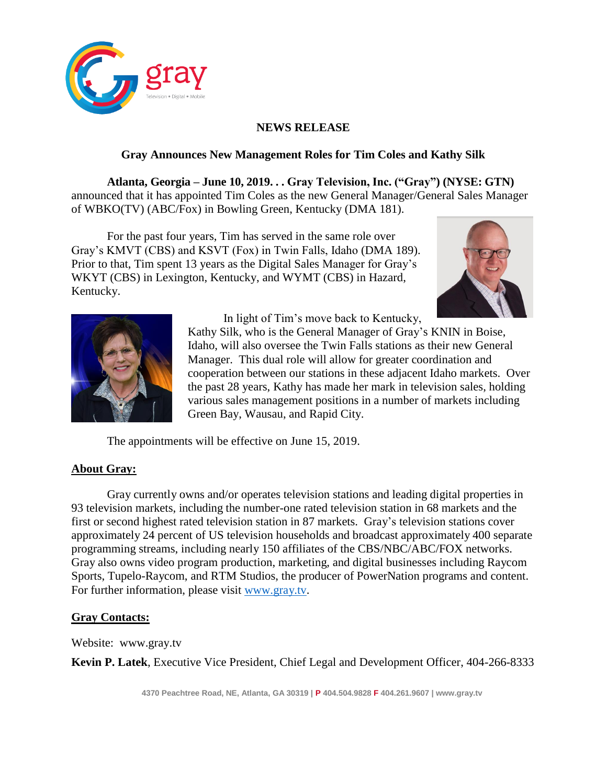

## **NEWS RELEASE**

## **Gray Announces New Management Roles for Tim Coles and Kathy Silk**

**Atlanta, Georgia – June 10, 2019. . . Gray Television, Inc. ("Gray") (NYSE: GTN)**  announced that it has appointed Tim Coles as the new General Manager/General Sales Manager of WBKO(TV) (ABC/Fox) in Bowling Green, Kentucky (DMA 181).

For the past four years, Tim has served in the same role over Gray's KMVT (CBS) and KSVT (Fox) in Twin Falls, Idaho (DMA 189). Prior to that, Tim spent 13 years as the Digital Sales Manager for Gray's WKYT (CBS) in Lexington, Kentucky, and WYMT (CBS) in Hazard, Kentucky.





In light of Tim's move back to Kentucky,

Kathy Silk, who is the General Manager of Gray's KNIN in Boise, Idaho, will also oversee the Twin Falls stations as their new General Manager. This dual role will allow for greater coordination and cooperation between our stations in these adjacent Idaho markets. Over the past 28 years, Kathy has made her mark in television sales, holding various sales management positions in a number of markets including Green Bay, Wausau, and Rapid City.

The appointments will be effective on June 15, 2019.

## **About Gray:**

Gray currently owns and/or operates television stations and leading digital properties in 93 television markets, including the number-one rated television station in 68 markets and the first or second highest rated television station in 87 markets. Gray's television stations cover approximately 24 percent of US television households and broadcast approximately 400 separate programming streams, including nearly 150 affiliates of the CBS/NBC/ABC/FOX networks. Gray also owns video program production, marketing, and digital businesses including Raycom Sports, Tupelo-Raycom, and RTM Studios, the producer of PowerNation programs and content. For further information, please visit [www.gray.tv.](http://www.gray.tv/)

## **Gray Contacts:**

Website: [www.gray.tv](http://www.gray.tv/)

**Kevin P. Latek**, Executive Vice President, Chief Legal and Development Officer, 404-266-8333

**4370 Peachtree Road, NE, Atlanta, GA 30319 | P 404.504.9828 F 404.261.9607 | www.gray.tv**